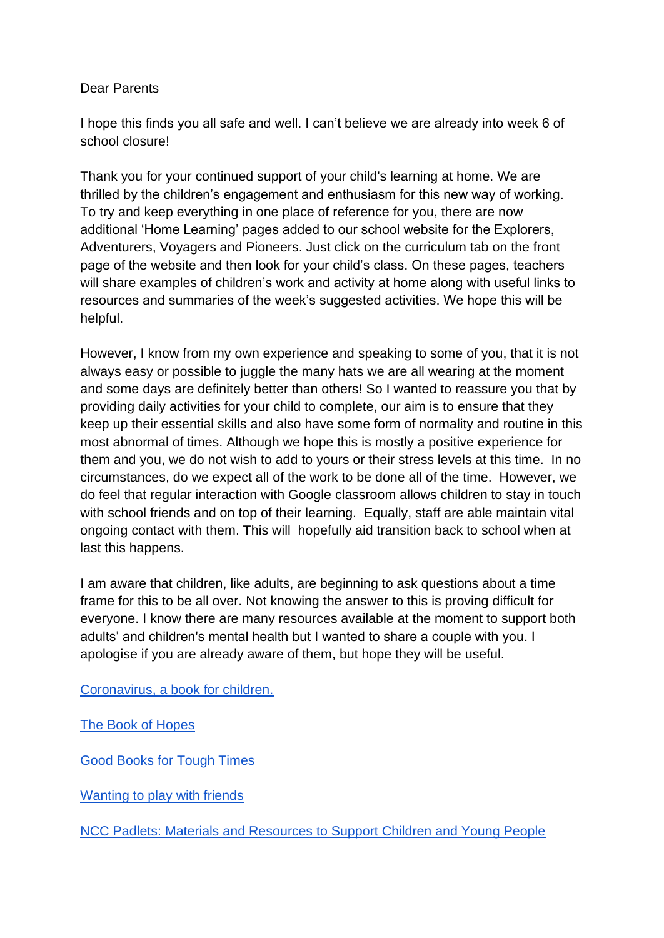## Dear Parents

I hope this finds you all safe and well. I can't believe we are already into week 6 of school closure!

Thank you for your continued support of your child's learning at home. We are thrilled by the children's engagement and enthusiasm for this new way of working. To try and keep everything in one place of reference for you, there are now additional 'Home Learning' pages added to our school website for the Explorers, Adventurers, Voyagers and Pioneers. Just click on the curriculum tab on the front page of the website and then look for your child's class. On these pages, teachers will share examples of children's work and activity at home along with useful links to resources and summaries of the week's suggested activities. We hope this will be helpful.

However, I know from my own experience and speaking to some of you, that it is not always easy or possible to juggle the many hats we are all wearing at the moment and some days are definitely better than others! So I wanted to reassure you that by providing daily activities for your child to complete, our aim is to ensure that they keep up their essential skills and also have some form of normality and routine in this most abnormal of times. Although we hope this is mostly a positive experience for them and you, we do not wish to add to yours or their stress levels at this time. In no circumstances, do we expect all of the work to be done all of the time. However, we do feel that regular interaction with Google classroom allows children to stay in touch with school friends and on top of their learning. Equally, staff are able maintain vital ongoing contact with them. This will hopefully aid transition back to school when at last this happens.

I am aware that children, like adults, are beginning to ask questions about a time frame for this to be all over. Not knowing the answer to this is proving difficult for everyone. I know there are many resources available at the moment to support both adults' and children's mental health but I wanted to share a couple with you. I apologise if you are already aware of them, but hope they will be useful.

[Coronavirus, a book for children.](https://nosycrow.com/wp-content/uploads/2020/04/Coronavirus-A-Book-for-Children.pdf) 

[The Book of Hopes](https://literacytrust.org.uk/family-zone/9-12/book-hopes/) 

[Good Books for Tough Times](https://www.partnershipforchildren.org.uk/what-we-do/resources-for-parents/good-books-for-tough-times.html) 

Wanting to play with friends

[NCC Padlets: Materials and Resources to Support Children and Young People](https://nlandeducation.padlet.org/gill_finch2/SupportForChildrenandFamilies)